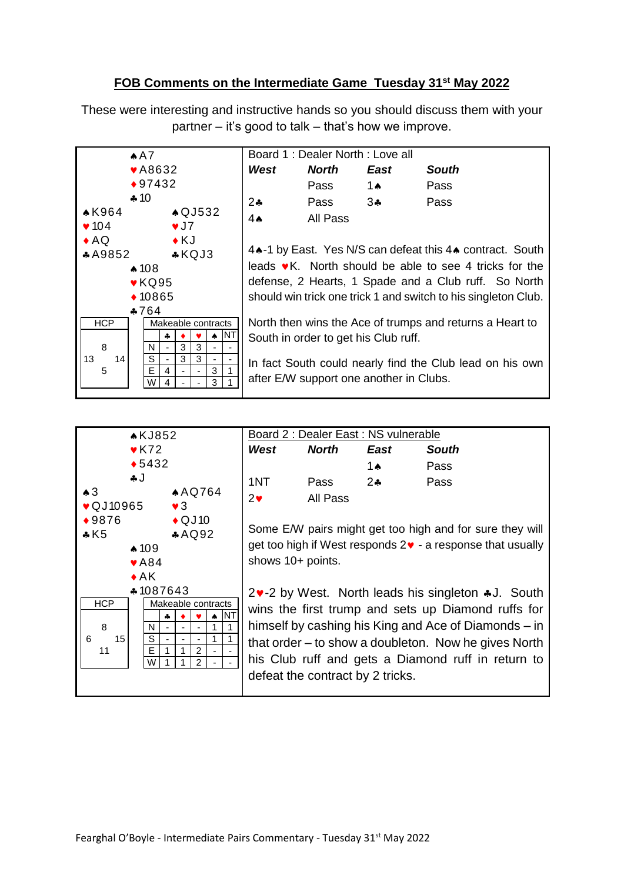## **FOB Comments on the Intermediate Game Tuesday 31st May 2022**

These were interesting and instructive hands so you should discuss them with your partner – it's good to talk – that's how we improve.

| A A                                                                                                                                                                    | Board 1 : Dealer North : Love all                                                                                                                                                                                                                                                                                                                           |          |                                         |                                                          |
|------------------------------------------------------------------------------------------------------------------------------------------------------------------------|-------------------------------------------------------------------------------------------------------------------------------------------------------------------------------------------------------------------------------------------------------------------------------------------------------------------------------------------------------------|----------|-----------------------------------------|----------------------------------------------------------|
| $\blacktriangleright$ A8632                                                                                                                                            | West                                                                                                                                                                                                                                                                                                                                                        | North    | East                                    | <b>South</b>                                             |
| $*97432$                                                                                                                                                               |                                                                                                                                                                                                                                                                                                                                                             | Pass     | 1 $\bullet$                             | Pass                                                     |
| $*10$                                                                                                                                                                  | $2*$                                                                                                                                                                                                                                                                                                                                                        | Pass     | 34                                      | Pass                                                     |
| $*K964$<br>$\triangle$ QJ532                                                                                                                                           | $4\bullet$                                                                                                                                                                                                                                                                                                                                                  | All Pass |                                         |                                                          |
| $\blacktriangledown$ 104<br>$\sqrt{J}$                                                                                                                                 |                                                                                                                                                                                                                                                                                                                                                             |          |                                         |                                                          |
| $\triangle$ AQ<br>$\bullet$ KJ<br>$*$ KQJ3<br>*A9852<br>$*108$<br>$\blacktriangleright$ KQ95<br>$*10865$<br>$*764$<br><b>HCP</b><br>Makeable contracts<br>ΝT<br>4<br>₳ | 4.4-1 by East. Yes N/S can defeat this 4.4 contract. South<br>leads $\bullet$ K. North should be able to see 4 tricks for the<br>defense, 2 Hearts, 1 Spade and a Club ruff. So North<br>should win trick one trick 1 and switch to his singleton Club.<br>North then wins the Ace of trumps and returns a Heart to<br>South in order to get his Club ruff. |          |                                         |                                                          |
| 3<br>8<br>3<br>N                                                                                                                                                       |                                                                                                                                                                                                                                                                                                                                                             |          |                                         |                                                          |
| S<br>3<br>13<br>14<br>3<br>$\overline{\phantom{a}}$<br>E<br>5<br>3<br>4<br>3<br>W<br>Δ                                                                                 |                                                                                                                                                                                                                                                                                                                                                             |          | after E/W support one another in Clubs. | In fact South could nearly find the Club lead on his own |



|            | Board 2 : Dealer East : NS vulnerable |              |            |              |
|------------|---------------------------------------|--------------|------------|--------------|
|            | West                                  | <b>North</b> | East       | <b>South</b> |
|            |                                       |              | <b>1 A</b> | Pass         |
|            | 1NT                                   | Pass         | $2\bullet$ | Pass         |
| $2\bullet$ |                                       | All Pass     |            |              |

Some E/W pairs might get too high and for sure they will get too high if West responds  $2 \cdot \cdot$  a response that usually shows 10+ points.

2. 2-2 by West. North leads his singleton \*J. South wins the first trump and sets up Diamond ruffs for himself by cashing his King and Ace of Diamonds – in that order – to show a doubleton. Now he gives North his Club ruff and gets a Diamond ruff in return to defeat the contract by 2 tricks.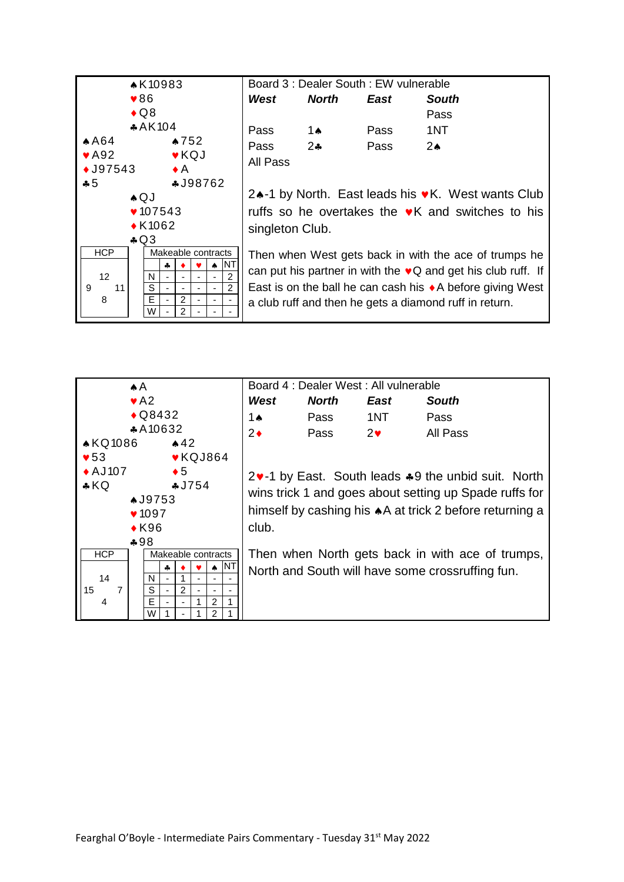

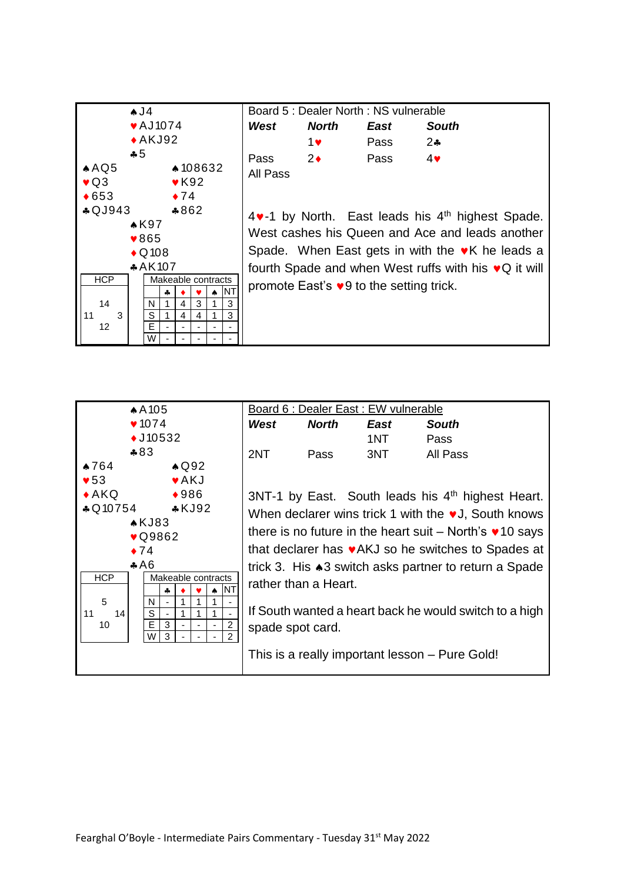

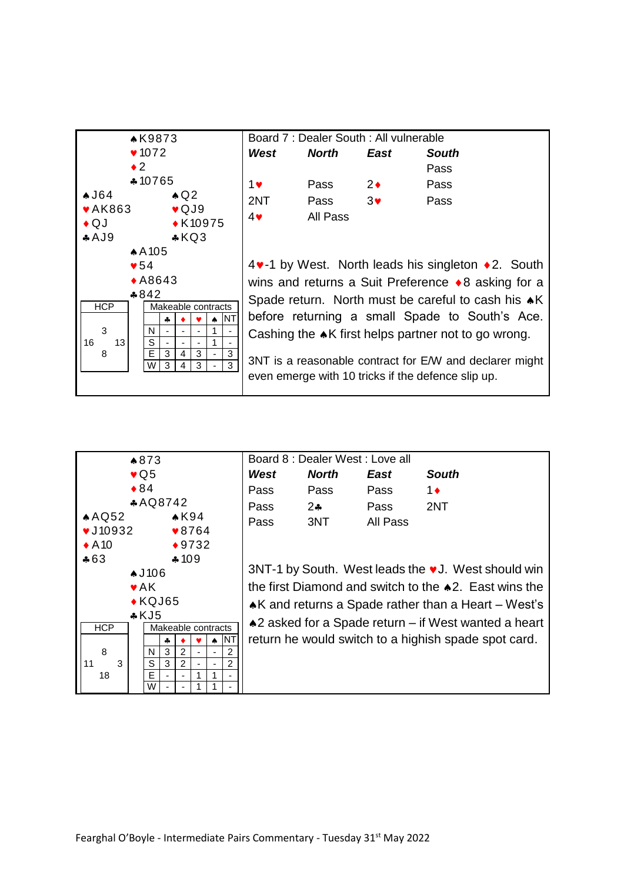

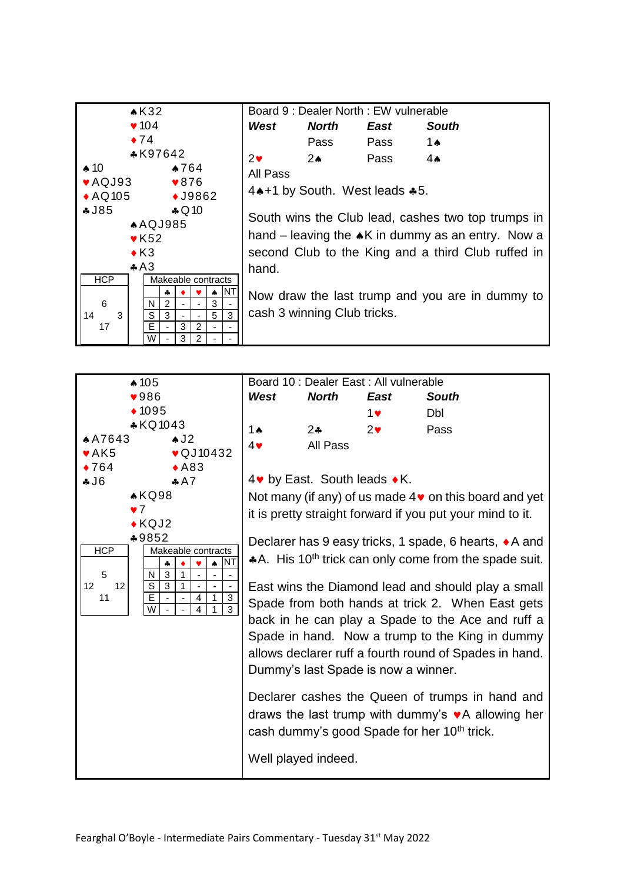

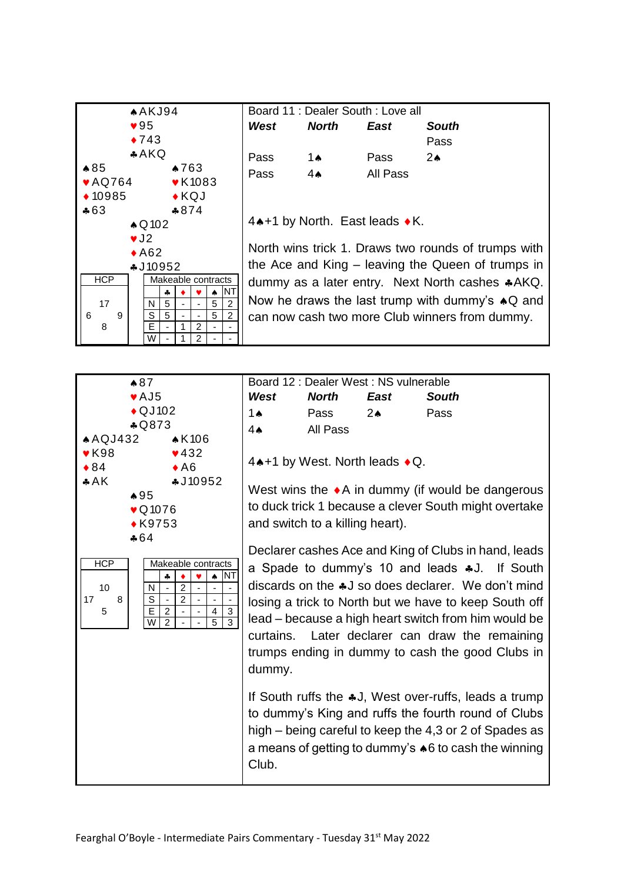



Board 12 : Dealer West : NS vulnerable *West North East South* 1<sup>a</sup> Pass 2<sup>a</sup> Pass 4<sup>\*</sup> All Pass

 $4$   $\leftrightarrow$  1 by West. North leads  $\bullet$  Q.

West wins the  $\bullet$  A in dummy (if would be dangerous to duck trick 1 because a clever South might overtake and switch to a killing heart).

Declarer cashes Ace and King of Clubs in hand, leads a Spade to dummy's 10 and leads  $*J$ . If South discards on the  $*J$  so does declarer. We don't mind losing a trick to North but we have to keep South off lead – because a high heart switch from him would be curtains. Later declarer can draw the remaining trumps ending in dummy to cash the good Clubs in dummy.

If South ruffs the  $*J$ , West over-ruffs, leads a trump to dummy's King and ruffs the fourth round of Clubs high – being careful to keep the 4,3 or 2 of Spades as a means of getting to dummy's  $\triangle 6$  to cash the winning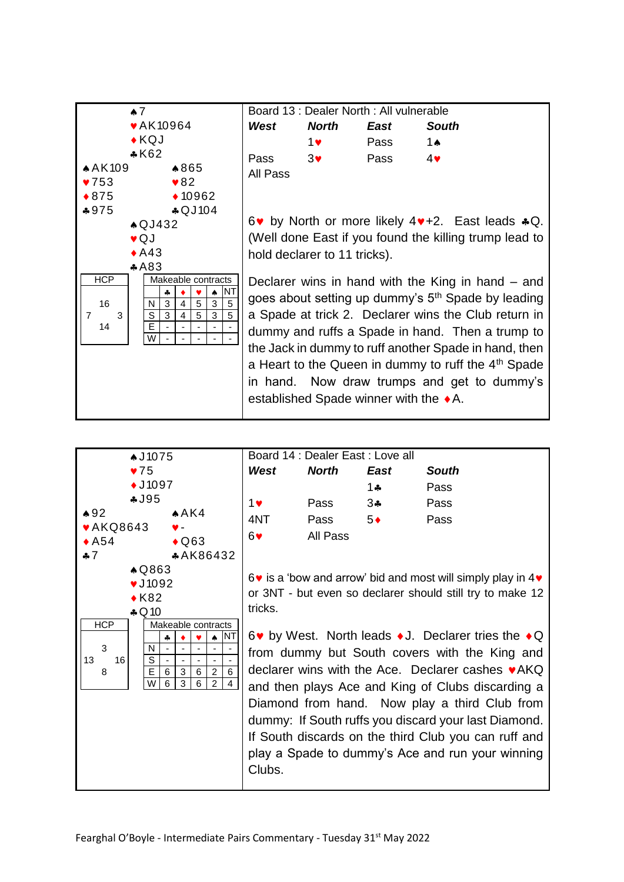

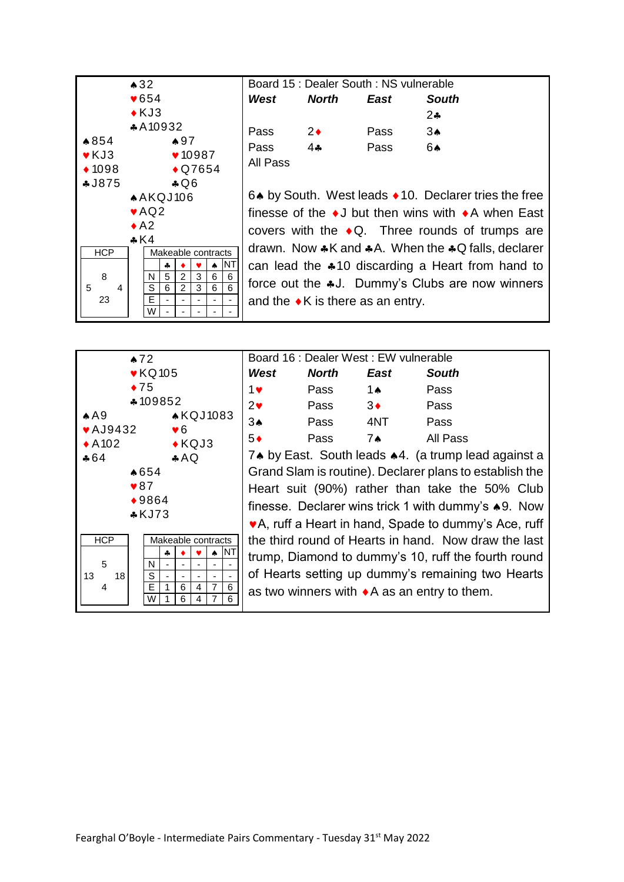

|          | Board 15 : Dealer South : NS vulnerable |      |                                                                     |
|----------|-----------------------------------------|------|---------------------------------------------------------------------|
| West     | North                                   | East | South                                                               |
|          |                                         |      | 24                                                                  |
| Pass     | $2\bullet$                              | Pass | 3ѧ                                                                  |
| Pass     | $4 - 4$                                 | Pass | 6▲                                                                  |
| All Pass |                                         |      |                                                                     |
|          |                                         |      |                                                                     |
|          |                                         |      | 6. by South. West leads ♦ 10. Declarer tries the free               |
|          |                                         |      | finesse of the $\bullet$ J but then wins with $\bullet$ A when East |
|          |                                         |      | covers with the $\triangle$ Q. Three rounds of trumps are           |
|          |                                         |      |                                                                     |

drawn. Now  $*K$  and  $*A$ . When the  $*Q$  falls, declarer can lead the  $*10$  discarding a Heart from hand to force out the  $*J$ . Dummy's Clubs are now winners and the  $\bullet$ K is there as an entry.



| Board 16 : Dealer West : EW vulnerable                  |              |               |                                                     |  |
|---------------------------------------------------------|--------------|---------------|-----------------------------------------------------|--|
| West                                                    | <b>North</b> | East          | <b>South</b>                                        |  |
| 1♥                                                      | Pass         | 1 $\triangle$ | Pass                                                |  |
| $2\bullet$                                              | Pass         | $3\bullet$    | Pass                                                |  |
| $3*$                                                    | Pass         | 4NT           | Pass                                                |  |
| $5*$                                                    | Pass         | 7ѧ            | All Pass                                            |  |
|                                                         |              |               | 7. by East. South leads .4. (a trump lead against a |  |
| Grand Slam is routine). Declarer plans to establish the |              |               |                                                     |  |
| Heart suit (90%) rather than take the 50% Club          |              |               |                                                     |  |
| finesse. Declarer wins trick 1 with dummy's ♦9. Now     |              |               |                                                     |  |
| ♥A, ruff a Heart in hand, Spade to dummy's Ace, ruff    |              |               |                                                     |  |
| the third round of Hearts in hand. Now draw the last    |              |               |                                                     |  |
| trump, Diamond to dummy's 10, ruff the fourth round     |              |               |                                                     |  |
| of Hearts setting up dummy's remaining two Hearts       |              |               |                                                     |  |

as two winners with  $\triangle A$  as an entry to them.